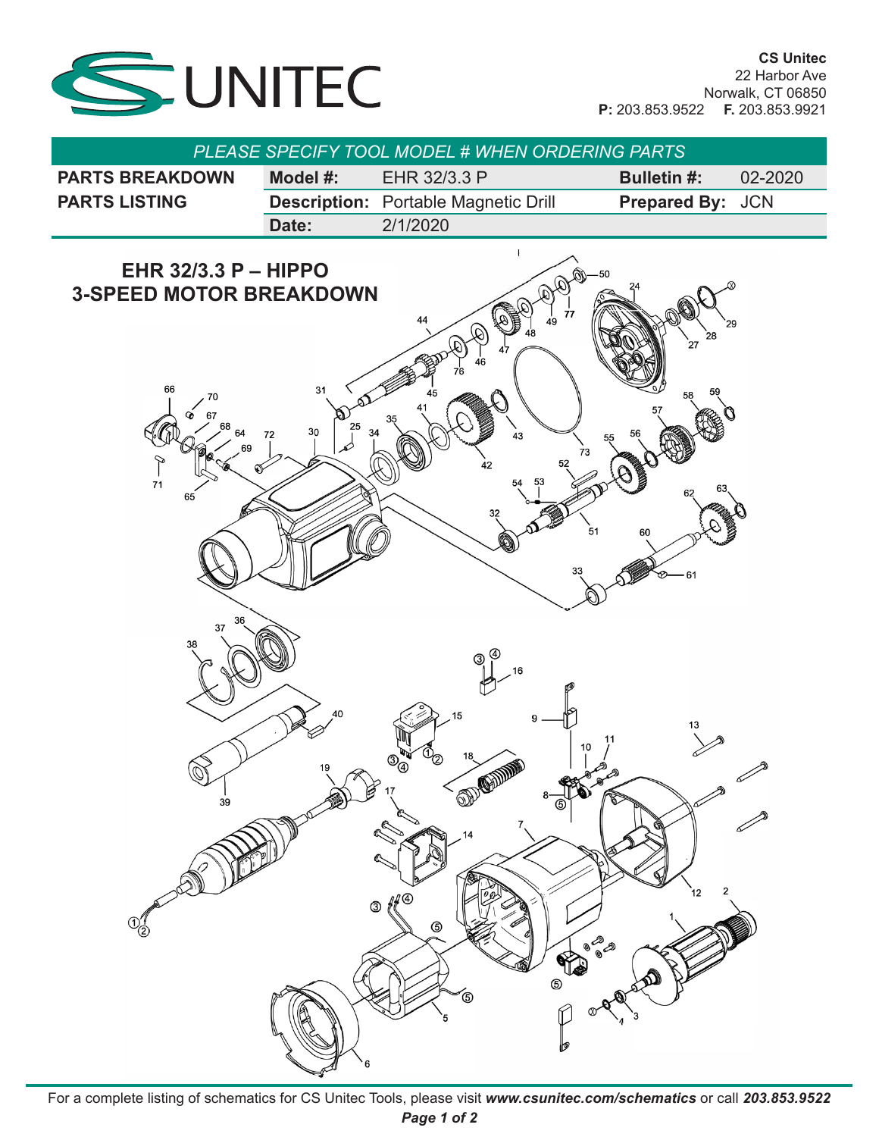

| <b>PLEASE SPECIFY TOOL MODEL # WHEN ORDERING PARTS</b> |             |                                             |                         |             |  |  |  |  |  |
|--------------------------------------------------------|-------------|---------------------------------------------|-------------------------|-------------|--|--|--|--|--|
| <b>PARTS BREAKDOWN</b>                                 | Model $#$ : | EHR 32/3.3 P                                | <b>Bulletin #:</b>      | $02 - 2020$ |  |  |  |  |  |
| <b>PARTS LISTING</b>                                   |             | <b>Description:</b> Portable Magnetic Drill | <b>Prepared By: JCN</b> |             |  |  |  |  |  |
|                                                        | Date:       | 2/1/2020                                    |                         |             |  |  |  |  |  |



For a complete listing of schematics for CS Unitec Tools, please visit www.<mark>csunitec.com/schematics</mark> or call 203.853.9522 *Page 1 of 2*